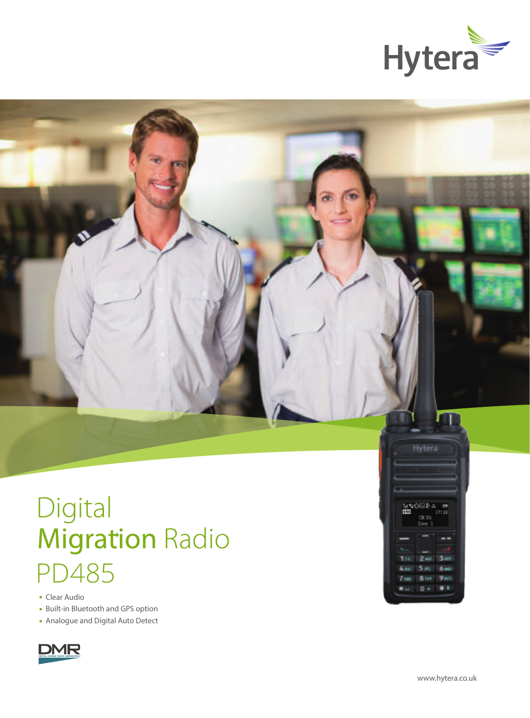

# Digital **Migration Radio** PD485

- Clear Audio
- Built-in Bluetooth and GPS option
- Analogue and Digital Auto Detect





Hytera

**MAGELE A**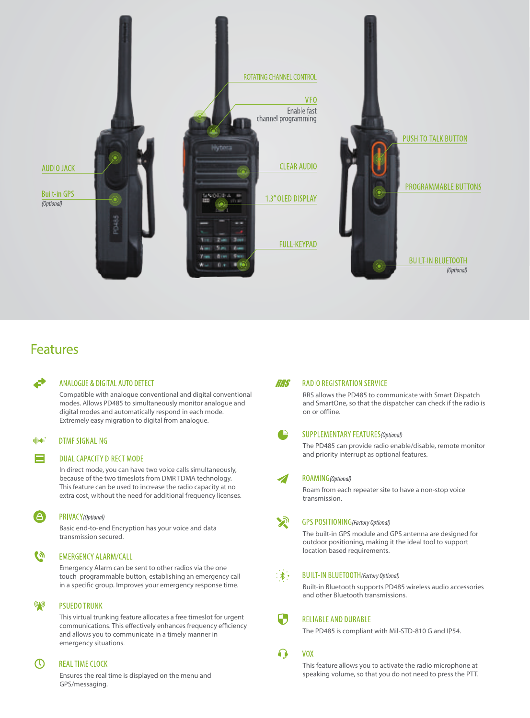

# **Features**

### **ANALOGUE & DIGITAL AUTO DETECT**

Compatible with analogue conventional and digital conventional modes. Allows PD485 to simultaneously monitor analogue and digital modes and automatically respond in each mode. Extremely easy migration to digital from analogue.

#### alpapé **DTMF SIGNALING**

Ξ

A

# **DUAL CAPACITY DIRECT MODE**

In direct mode, you can have two voice calls simultaneously, because of the two timeslots from DMR TDMA technology. This feature can be used to increase the radio capacity at no extra cost, without the need for additional frequency licenses.

### PRIVACY(Optional)

Basic end-to-end Encryption has your voice and data transmission secured.

### (b **EMERGENCY ALARM/CALL**

Emergency Alarm can be sent to other radios via the one touch programmable button, establishing an emergency call in a specific group. Improves your emergency response time.

### $(\varphi)$ **PSUEDO TRUNK**

This virtual trunking feature allocates a free timeslot for urgent communications. This effectively enhances frequency efficiency and allows you to communicate in a timely manner in emergency situations

#### $\mathcal{O}$ **REAL TIME CLOCK**

GPS/messaging.

#### **RRS RADIO REGISTRATION SERVICE**

RRS allows the PD485 to communicate with Smart Dispatch and SmartOne, so that the dispatcher can check if the radio is on or offline.

### **SUPPLEMENTARY FEATURES (Optional)**

The PD485 can provide radio enable/disable, remote monitor and priority interrupt as optional features.

### ROAMING(Optional)

Roam from each repeater site to have a non-stop voice transmission.

# ھج

**GPS POSITIONING**(Factory Optional)

The built-in GPS module and GPS antenna are designed for outdoor positioning, making it the ideal tool to support location based requirements.

#### **BUILT-IN BLUETOOTH** (Factory Optional) ∶ ∦ं∙

Built-in Bluetooth supports PD485 wireless audio accessories and other Bluetooth transmissions.

### 8 **RELIABLE AND DURABLE**

The PD485 is compliant with Mil-STD-810 G and IP54.

### $\Omega$ **VOX**

This feature allows you to activate the radio microphone at Ensures the real time is displayed on the menu and speaking volume, so that you do not need to press the PTT.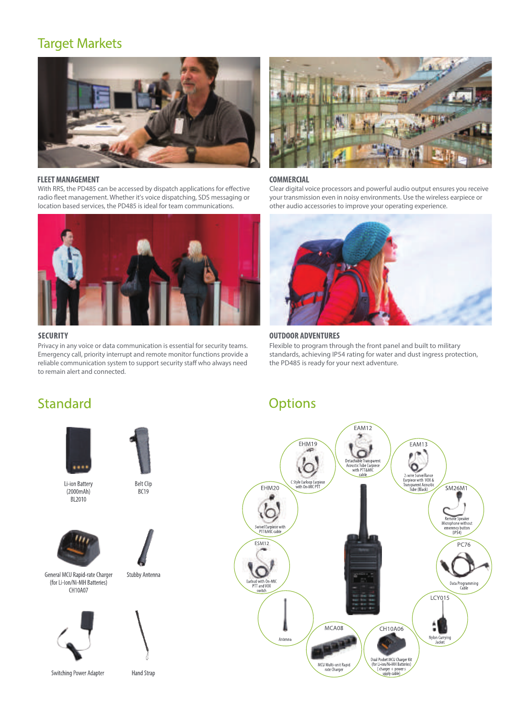# **Target Markets**



**FLEET MANAGEMENT** 

With RRS, the PD485 can be accessed by dispatch applications for effective radio fleet management. Whether it's voice dispatching, SDS messaging or location based services, the PD485 is ideal for team communications.



## **SECURITY**

Privacy in any voice or data communication is essential for security teams. Emergency call, priority interrupt and remote monitor functions provide a reliable communication system to support security staff who always need to remain alert and connected.



### **COMMERCIAL**

Clear digital voice processors and powerful audio output ensures you receive your transmission even in noisy environments. Use the wireless earpiece or other audio accessories to improve your operating experience.



### **OUTDOOR ADVENTURES**

Flexible to program through the front panel and built to military standards, achieving IP54 rating for water and dust ingress protection, the PD485 is ready for your next adventure.

# **Standard**



Li-ion Battery  $(2000mAh)$ BL2010



**Belt Clip** 

**BC19** 







Switching Power Adapter

**Hand Strap** 

# **Options**